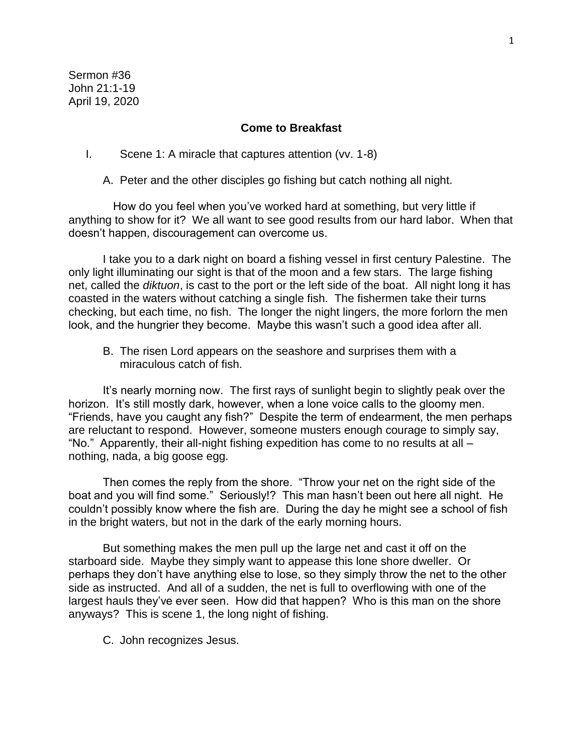Sermon #36 John 21:1-19 April 19, 2020

## **Come to Breakfast**

I. Scene 1: A miracle that captures attention (vv. 1-8)

A. Peter and the other disciples go fishing but catch nothing all night.

 How do you feel when you've worked hard at something, but very little if anything to show for it? We all want to see good results from our hard labor. When that doesn't happen, discouragement can overcome us.

I take you to a dark night on board a fishing vessel in first century Palestine. The only light illuminating our sight is that of the moon and a few stars. The large fishing net, called the *diktuon*, is cast to the port or the left side of the boat. All night long it has coasted in the waters without catching a single fish. The fishermen take their turns checking, but each time, no fish. The longer the night lingers, the more forlorn the men look, and the hungrier they become. Maybe this wasn't such a good idea after all.

B. The risen Lord appears on the seashore and surprises them with a miraculous catch of fish.

It's nearly morning now. The first rays of sunlight begin to slightly peak over the horizon. It's still mostly dark, however, when a lone voice calls to the gloomy men. "Friends, have you caught any fish?" Despite the term of endearment, the men perhaps are reluctant to respond. However, someone musters enough courage to simply say, "No." Apparently, their all-night fishing expedition has come to no results at all – nothing, nada, a big goose egg.

Then comes the reply from the shore. "Throw your net on the right side of the boat and you will find some." Seriously!? This man hasn't been out here all night. He couldn't possibly know where the fish are. During the day he might see a school of fish in the bright waters, but not in the dark of the early morning hours.

But something makes the men pull up the large net and cast it off on the starboard side. Maybe they simply want to appease this lone shore dweller. Or perhaps they don't have anything else to lose, so they simply throw the net to the other side as instructed. And all of a sudden, the net is full to overflowing with one of the largest hauls they've ever seen. How did that happen? Who is this man on the shore anyways? This is scene 1, the long night of fishing.

C. John recognizes Jesus.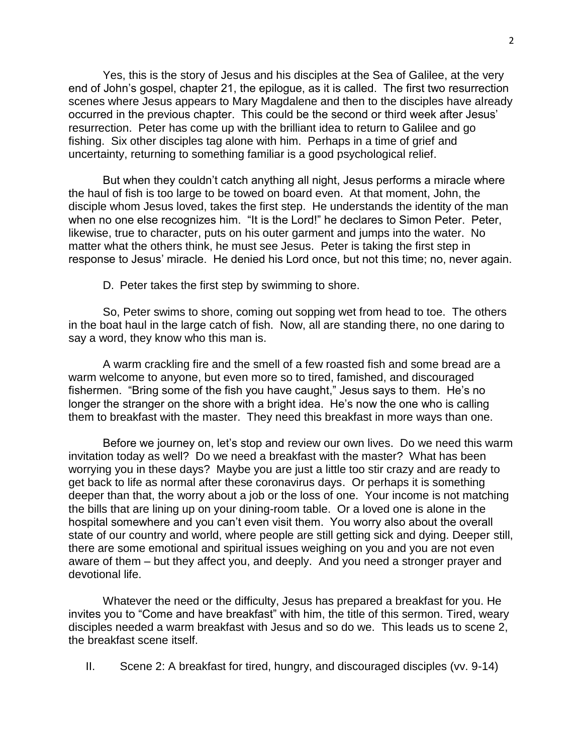Yes, this is the story of Jesus and his disciples at the Sea of Galilee, at the very end of John's gospel, chapter 21, the epilogue, as it is called. The first two resurrection scenes where Jesus appears to Mary Magdalene and then to the disciples have already occurred in the previous chapter. This could be the second or third week after Jesus' resurrection. Peter has come up with the brilliant idea to return to Galilee and go fishing. Six other disciples tag alone with him. Perhaps in a time of grief and uncertainty, returning to something familiar is a good psychological relief.

But when they couldn't catch anything all night, Jesus performs a miracle where the haul of fish is too large to be towed on board even. At that moment, John, the disciple whom Jesus loved, takes the first step. He understands the identity of the man when no one else recognizes him. "It is the Lord!" he declares to Simon Peter. Peter, likewise, true to character, puts on his outer garment and jumps into the water. No matter what the others think, he must see Jesus. Peter is taking the first step in response to Jesus' miracle. He denied his Lord once, but not this time; no, never again.

D. Peter takes the first step by swimming to shore.

So, Peter swims to shore, coming out sopping wet from head to toe. The others in the boat haul in the large catch of fish. Now, all are standing there, no one daring to say a word, they know who this man is.

A warm crackling fire and the smell of a few roasted fish and some bread are a warm welcome to anyone, but even more so to tired, famished, and discouraged fishermen. "Bring some of the fish you have caught," Jesus says to them. He's no longer the stranger on the shore with a bright idea. He's now the one who is calling them to breakfast with the master. They need this breakfast in more ways than one.

Before we journey on, let's stop and review our own lives. Do we need this warm invitation today as well? Do we need a breakfast with the master? What has been worrying you in these days? Maybe you are just a little too stir crazy and are ready to get back to life as normal after these coronavirus days. Or perhaps it is something deeper than that, the worry about a job or the loss of one. Your income is not matching the bills that are lining up on your dining-room table. Or a loved one is alone in the hospital somewhere and you can't even visit them. You worry also about the overall state of our country and world, where people are still getting sick and dying. Deeper still, there are some emotional and spiritual issues weighing on you and you are not even aware of them – but they affect you, and deeply. And you need a stronger prayer and devotional life.

Whatever the need or the difficulty, Jesus has prepared a breakfast for you. He invites you to "Come and have breakfast" with him, the title of this sermon. Tired, weary disciples needed a warm breakfast with Jesus and so do we. This leads us to scene 2, the breakfast scene itself.

II. Scene 2: A breakfast for tired, hungry, and discouraged disciples (vv. 9-14)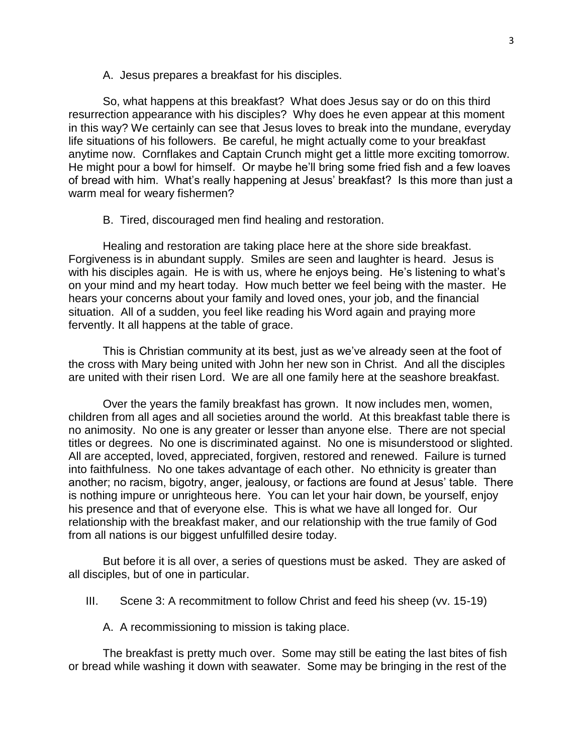A. Jesus prepares a breakfast for his disciples.

So, what happens at this breakfast? What does Jesus say or do on this third resurrection appearance with his disciples? Why does he even appear at this moment in this way? We certainly can see that Jesus loves to break into the mundane, everyday life situations of his followers. Be careful, he might actually come to your breakfast anytime now. Cornflakes and Captain Crunch might get a little more exciting tomorrow. He might pour a bowl for himself. Or maybe he'll bring some fried fish and a few loaves of bread with him. What's really happening at Jesus' breakfast? Is this more than just a warm meal for weary fishermen?

B. Tired, discouraged men find healing and restoration.

Healing and restoration are taking place here at the shore side breakfast. Forgiveness is in abundant supply. Smiles are seen and laughter is heard. Jesus is with his disciples again. He is with us, where he enjoys being. He's listening to what's on your mind and my heart today. How much better we feel being with the master. He hears your concerns about your family and loved ones, your job, and the financial situation. All of a sudden, you feel like reading his Word again and praying more fervently. It all happens at the table of grace.

This is Christian community at its best, just as we've already seen at the foot of the cross with Mary being united with John her new son in Christ. And all the disciples are united with their risen Lord. We are all one family here at the seashore breakfast.

Over the years the family breakfast has grown. It now includes men, women, children from all ages and all societies around the world. At this breakfast table there is no animosity. No one is any greater or lesser than anyone else. There are not special titles or degrees. No one is discriminated against. No one is misunderstood or slighted. All are accepted, loved, appreciated, forgiven, restored and renewed. Failure is turned into faithfulness. No one takes advantage of each other. No ethnicity is greater than another; no racism, bigotry, anger, jealousy, or factions are found at Jesus' table. There is nothing impure or unrighteous here. You can let your hair down, be yourself, enjoy his presence and that of everyone else. This is what we have all longed for. Our relationship with the breakfast maker, and our relationship with the true family of God from all nations is our biggest unfulfilled desire today.

But before it is all over, a series of questions must be asked. They are asked of all disciples, but of one in particular.

- III. Scene 3: A recommitment to follow Christ and feed his sheep (vv. 15-19)
	- A. A recommissioning to mission is taking place.

The breakfast is pretty much over. Some may still be eating the last bites of fish or bread while washing it down with seawater. Some may be bringing in the rest of the